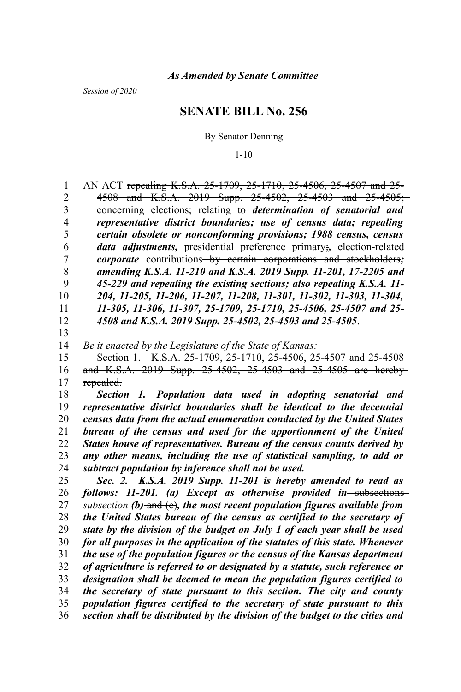*Session of 2020*

## **SENATE BILL No. 256**

By Senator Denning

1-10

| 1              | AN ACT repealing K.S.A. 25-1709, 25-1710, 25-4506, 25-4507 and 25-                    |
|----------------|---------------------------------------------------------------------------------------|
| $\overline{c}$ | 4508 and K.S.A. 2019 Supp. 25-4502, 25-4503 and 25-4505;                              |
| 3              | concerning elections; relating to <i>determination</i> of senatorial and              |
| 4              | representative district boundaries; use of census data; repealing                     |
| 5              | certain obsolete or nonconforming provisions; 1988 census, census                     |
| 6              | data adjustments, presidential preference primary;, election-related                  |
| 7              | <i>corporate</i> contributions-by certain corporations and stockholders;              |
| 8              | amending K.S.A. 11-210 and K.S.A. 2019 Supp. 11-201, 17-2205 and                      |
| 9              | 45-229 and repealing the existing sections; also repealing K.S.A. 11-                 |
| 10             | 204, 11-205, 11-206, 11-207, 11-208, 11-301, 11-302, 11-303, 11-304,                  |
| 11             | 11-305, 11-306, 11-307, 25-1709, 25-1710, 25-4506, 25-4507 and 25-                    |
| 12             | 4508 and K.S.A. 2019 Supp. 25-4502, 25-4503 and 25-4505.                              |
| 13             |                                                                                       |
| 14             | Be it enacted by the Legislature of the State of Kansas:                              |
| 15             | Section 1. K.S.A. 25-1709, 25-1710, 25-4506, 25-4507 and 25-4508                      |
| 16             | and K.S.A. 2019 Supp. 25-4502, 25-4503 and 25-4505 are hereby-                        |
| 17             | repealed.                                                                             |
| 18             | Section 1. Population data used in adopting senatorial and                            |
| 19             | representative district boundaries shall be identical to the decennial                |
| 20             | census data from the actual enumeration conducted by the United States                |
| 21             | bureau of the census and used for the apportionment of the United                     |
| 22             | States house of representatives. Bureau of the census counts derived by               |
| 23             | any other means, including the use of statistical sampling, to add or                 |
| 24             | subtract population by inference shall not be used.                                   |
| 25             | Sec. 2. K.S.A. 2019 Supp. 11-201 is hereby amended to read as                         |
| 26             | follows: 11-201. (a) Except as otherwise provided in-subsections-                     |
| 27             | subsection (b)- $\frac{d}{dt}(e)$ , the most recent population figures available from |
| 28             | the United States bureau of the census as certified to the secretary of               |
| 29             | state by the division of the budget on July 1 of each year shall be used              |
| 30             | for all purposes in the application of the statutes of this state. Whenever           |
| 31             | the use of the population figures or the census of the Kansas department              |
| 32             | of agriculture is referred to or designated by a statute, such reference or           |
| 33             | designation shall be deemed to mean the population figures certified to               |
| 34             | the secretary of state pursuant to this section. The city and county                  |
| 35             | population figures certified to the secretary of state pursuant to this               |
| 36             | section shall be distributed by the division of the budget to the cities and          |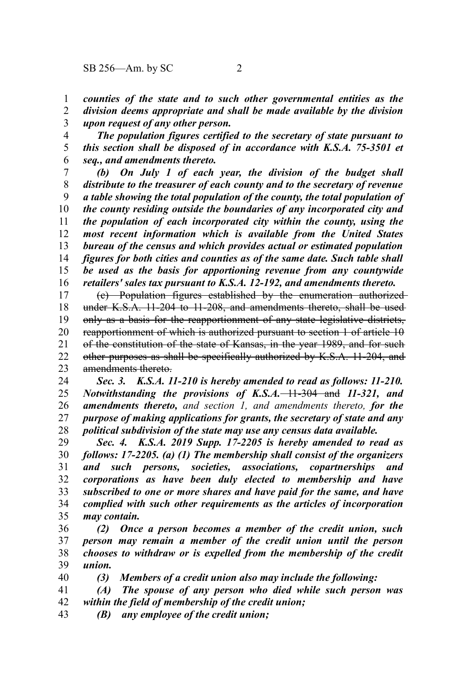*counties of the state and to such other governmental entities as the* 1

*division deems appropriate and shall be made available by the division upon request of any other person.* 2 3

*The population figures certified to the secretary of state pursuant to this section shall be disposed of in accordance with K.S.A. 75-3501 et seq., and amendments thereto.* 4 5 6

*(b) On July 1 of each year, the division of the budget shall distribute to the treasurer of each county and to the secretary of revenue a table showing the total population of the county, the total population of the county residing outside the boundaries of any incorporated city and the population of each incorporated city within the county, using the most recent information which is available from the United States bureau of the census and which provides actual or estimated population figures for both cities and counties as of the same date. Such table shall be used as the basis for apportioning revenue from any countywide retailers' sales tax pursuant to K.S.A. 12-192, and amendments thereto.* 7 8 9 10 11 12 13 14 15 16

(c) Population figures established by the enumeration authorized under K.S.A. 11-204 to 11-208, and amendments thereto, shall be used only as a basis for the reapportionment of any state legislative districts, reapportionment of which is authorized pursuant to section 1 of article 10 of the constitution of the state of Kansas, in the year 1989, and for such other purposes as shall be specifically authorized by K.S.A. 11-204, and amendments thereto. 17 18 19 20 21 22 23

*Sec. 3. K.S.A. 11-210 is hereby amended to read as follows: 11-210. Notwithstanding the provisions of K.S.A.*  $-11-304$  and 11-321, and *amendments thereto, and section 1, and amendments thereto, for the purpose of making applications for grants, the secretary of state and any political subdivision of the state may use any census data available.* 24 25 26 27 28

*Sec. 4. K.S.A. 2019 Supp. 17-2205 is hereby amended to read as follows: 17-2205. (a) (1) The membership shall consist of the organizers and such persons, societies, associations, copartnerships and corporations as have been duly elected to membership and have subscribed to one or more shares and have paid for the same, and have complied with such other requirements as the articles of incorporation may contain.* 29 30 31 32 33 34 35

*(2) Once a person becomes a member of the credit union, such person may remain a member of the credit union until the person chooses to withdraw or is expelled from the membership of the credit union.* 36 37 38 39

*(3) Members of a credit union also may include the following:* 40

*(A) The spouse of any person who died while such person was within the field of membership of the credit union;* 41 42

*(B) any employee of the credit union;* 43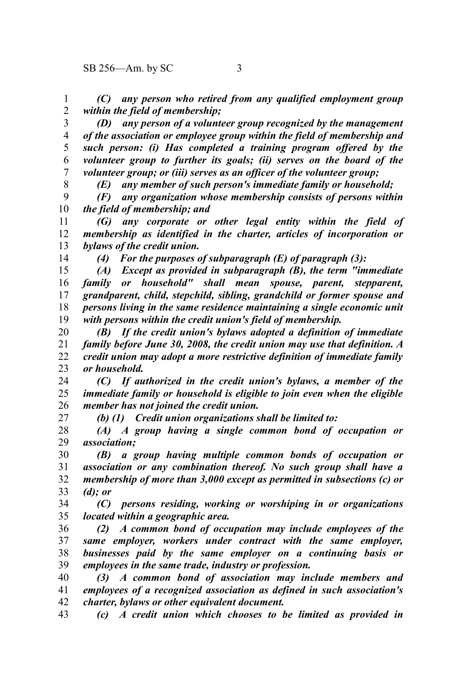*(C) any person who retired from any qualified employment group within the field of membership;* 1 2

*(D) any person of a volunteer group recognized by the management of the association or employee group within the field of membership and such person: (i) Has completed a training program offered by the volunteer group to further its goals; (ii) serves on the board of the volunteer group; or (iii) serves as an officer of the volunteer group;* 3 4 5 6 7 8

*(E) any member of such person's immediate family or household;*

*(F) any organization whose membership consists of persons within the field of membership; and* 9 10

*(G) any corporate or other legal entity within the field of membership as identified in the charter, articles of incorporation or bylaws of the credit union.* 11 12 13

14

27

*(4) For the purposes of subparagraph (E) of paragraph (3):*

*(A) Except as provided in subparagraph (B), the term "immediate family or household" shall mean spouse, parent, stepparent, grandparent, child, stepchild, sibling, grandchild or former spouse and persons living in the same residence maintaining a single economic unit with persons within the credit union's field of membership.* 15 16 17 18 19

*(B) If the credit union's bylaws adopted a definition of immediate family before June 30, 2008, the credit union may use that definition. A credit union may adopt a more restrictive definition of immediate family or household.* 20 21 22 23

*(C) If authorized in the credit union's bylaws, a member of the immediate family or household is eligible to join even when the eligible member has not joined the credit union.* 24 25 26

*(b) (1) Credit union organizations shall be limited to:*

*(A) A group having a single common bond of occupation or association;* 28 29

*(B) a group having multiple common bonds of occupation or association or any combination thereof. No such group shall have a membership of more than 3,000 except as permitted in subsections (c) or (d); or* 30 31 32 33

*(C) persons residing, working or worshiping in or organizations located within a geographic area.* 34 35

*(2) A common bond of occupation may include employees of the same employer, workers under contract with the same employer, businesses paid by the same employer on a continuing basis or employees in the same trade, industry or profession.* 36 37 38 39

*(3) A common bond of association may include members and employees of a recognized association as defined in such association's charter, bylaws or other equivalent document.* 40 41 42

*(c) A credit union which chooses to be limited as provided in* 43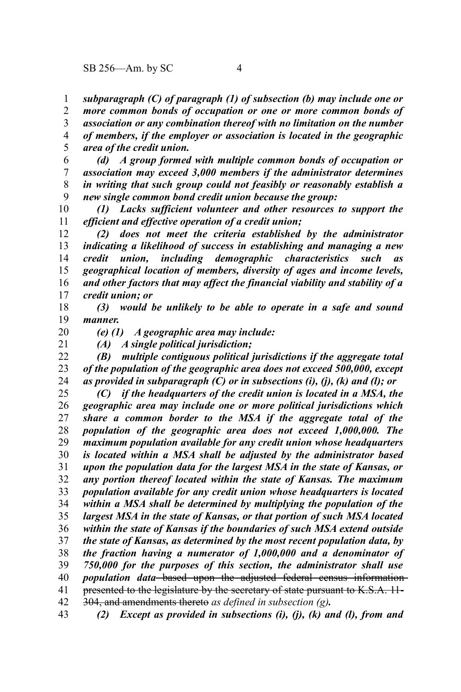*subparagraph (C) of paragraph (1) of subsection (b) may include one or more common bonds of occupation or one or more common bonds of association or any combination thereof with no limitation on the number of members, if the employer or association is located in the geographic area of the credit union.* 1 2 3 4 5

*(d) A group formed with multiple common bonds of occupation or association may exceed 3,000 members if the administrator determines in writing that such group could not feasibly or reasonably establish a new single common bond credit union because the group:* 6 7 8 9

*(1) Lacks sufficient volunteer and other resources to support the efficient and effective operation of a credit union;* 10 11

*(2) does not meet the criteria established by the administrator indicating a likelihood of success in establishing and managing a new credit union, including demographic characteristics such as geographical location of members, diversity of ages and income levels, and other factors that may affect the financial viability and stability of a credit union; or* 12 13 14 15 16 17

*(3) would be unlikely to be able to operate in a safe and sound manner.* 18 19

20 21

*(e) (1) A geographic area may include:*

*(A) A single political jurisdiction;*

*(B) multiple contiguous political jurisdictions if the aggregate total of the population of the geographic area does not exceed 500,000, except as provided in subparagraph (C) or in subsections (i), (j), (k) and (l); or* 22 23 24

*(C) if the headquarters of the credit union is located in a MSA, the geographic area may include one or more political jurisdictions which share a common border to the MSA if the aggregate total of the population of the geographic area does not exceed 1,000,000. The maximum population available for any credit union whose headquarters is located within a MSA shall be adjusted by the administrator based upon the population data for the largest MSA in the state of Kansas, or any portion thereof located within the state of Kansas. The maximum population available for any credit union whose headquarters is located within a MSA shall be determined by multiplying the population of the largest MSA in the state of Kansas, or that portion of such MSA located within the state of Kansas if the boundaries of such MSA extend outside the state of Kansas, as determined by the most recent population data, by the fraction having a numerator of 1,000,000 and a denominator of 750,000 for the purposes of this section, the administrator shall use population data* based upon the adjusted federal census information presented to the legislature by the secretary of state pursuant to K.S.A. 11- 304, and amendments thereto *as defined in subsection (g).* 25 26 27 28 29 30 31 32 33 34 35 36 37 38 39 40 41 42

*(2) Except as provided in subsections (i), (j), (k) and (l), from and* 43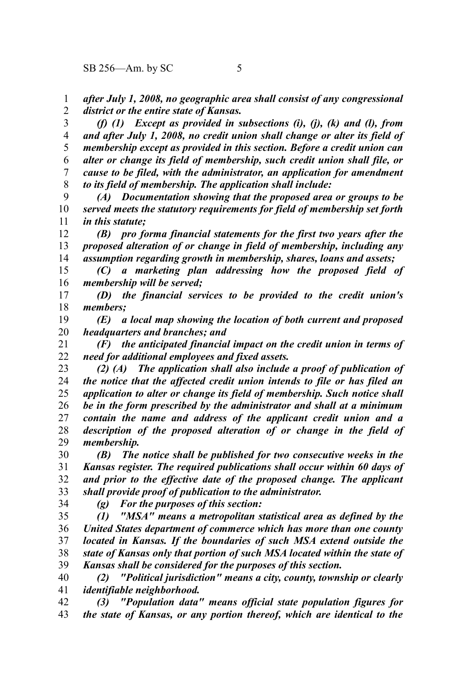*after July 1, 2008, no geographic area shall consist of any congressional district or the entire state of Kansas.* 1 2

*(f) (1) Except as provided in subsections (i), (j), (k) and (l), from and after July 1, 2008, no credit union shall change or alter its field of membership except as provided in this section. Before a credit union can alter or change its field of membership, such credit union shall file, or cause to be filed, with the administrator, an application for amendment to its field of membership. The application shall include:* 3 4 5 6 7 8

*(A) Documentation showing that the proposed area or groups to be served meets the statutory requirements for field of membership set forth in this statute;* 9 10 11

*(B) pro forma financial statements for the first two years after the proposed alteration of or change in field of membership, including any assumption regarding growth in membership, shares, loans and assets;* 12 13 14

*(C) a marketing plan addressing how the proposed field of membership will be served;* 15 16

*(D) the financial services to be provided to the credit union's members;* 17 18

*(E) a local map showing the location of both current and proposed headquarters and branches; and* 19 20

*(F) the anticipated financial impact on the credit union in terms of need for additional employees and fixed assets.* 21 22

*(2) (A) The application shall also include a proof of publication of the notice that the affected credit union intends to file or has filed an application to alter or change its field of membership. Such notice shall be in the form prescribed by the administrator and shall at a minimum contain the name and address of the applicant credit union and a description of the proposed alteration of or change in the field of membership.* 23 24 25 26 27 28 29

*(B) The notice shall be published for two consecutive weeks in the Kansas register. The required publications shall occur within 60 days of and prior to the effective date of the proposed change. The applicant shall provide proof of publication to the administrator.* 30 31 32 33

34

*(g) For the purposes of this section:*

*(1) "MSA" means a metropolitan statistical area as defined by the United States department of commerce which has more than one county located in Kansas. If the boundaries of such MSA extend outside the state of Kansas only that portion of such MSA located within the state of Kansas shall be considered for the purposes of this section.* 35 36 37 38 39

*(2) "Political jurisdiction" means a city, county, township or clearly identifiable neighborhood.* 40 41

*(3) "Population data" means official state population figures for the state of Kansas, or any portion thereof, which are identical to the* 42 43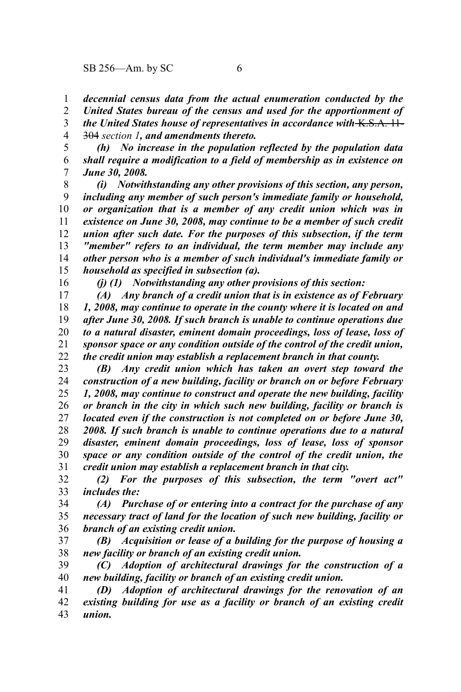*decennial census data from the actual enumeration conducted by the United States bureau of the census and used for the apportionment of* 1 2

*the United States house of representatives in accordance with* K.S.A. 11- 304 *section 1, and amendments thereto.* 3 4

*(h) No increase in the population reflected by the population data shall require a modification to a field of membership as in existence on June 30, 2008.* 5 6 7

*(i) Notwithstanding any other provisions of this section, any person, including any member of such person's immediate family or household, or organization that is a member of any credit union which was in existence on June 30, 2008, may continue to be a member of such credit union after such date. For the purposes of this subsection, if the term "member" refers to an individual, the term member may include any other person who is a member of such individual's immediate family or household as specified in subsection (a).* 8 9 10 11 12 13 14 15

16

*(j) (1) Notwithstanding any other provisions of this section:*

*(A) Any branch of a credit union that is in existence as of February 1, 2008, may continue to operate in the county where it is located on and after June 30, 2008. If such branch is unable to continue operations due to a natural disaster, eminent domain proceedings, loss of lease, loss of sponsor space or any condition outside of the control of the credit union, the credit union may establish a replacement branch in that county.* 17 18 19 20 21 22

*(B) Any credit union which has taken an overt step toward the construction of a new building, facility or branch on or before February 1, 2008, may continue to construct and operate the new building, facility or branch in the city in which such new building, facility or branch is located even if the construction is not completed on or before June 30, 2008. If such branch is unable to continue operations due to a natural disaster, eminent domain proceedings, loss of lease, loss of sponsor space or any condition outside of the control of the credit union, the credit union may establish a replacement branch in that city.* 23 24 25 26 27 28 29 30 31

*(2) For the purposes of this subsection, the term "overt act" includes the:* 32 33

*(A) Purchase of or entering into a contract for the purchase of any necessary tract of land for the location of such new building, facility or branch of an existing credit union.* 34 35 36

*(B) Acquisition or lease of a building for the purpose of housing a new facility or branch of an existing credit union.* 37 38

*(C) Adoption of architectural drawings for the construction of a new building, facility or branch of an existing credit union.* 39 40

*(D) Adoption of architectural drawings for the renovation of an existing building for use as a facility or branch of an existing credit union.* 41 42 43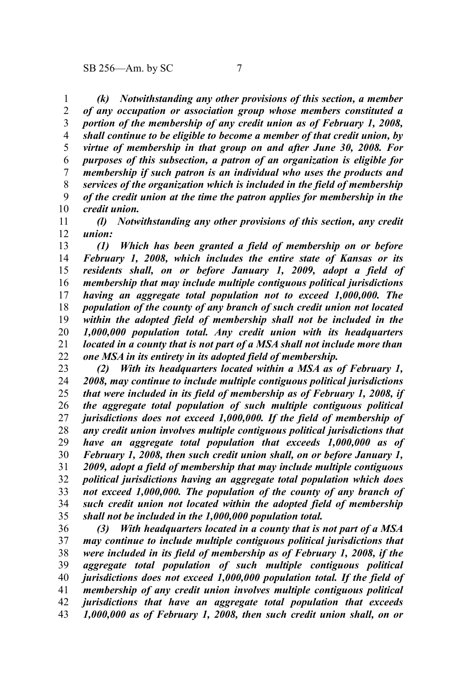*(k) Notwithstanding any other provisions of this section, a member of any occupation or association group whose members constituted a portion of the membership of any credit union as of February 1, 2008, shall continue to be eligible to become a member of that credit union, by virtue of membership in that group on and after June 30, 2008. For purposes of this subsection, a patron of an organization is eligible for membership if such patron is an individual who uses the products and services of the organization which is included in the field of membership of the credit union at the time the patron applies for membership in the credit union.* 1 2 3 4 5 6 7 8 9 10

*(l) Notwithstanding any other provisions of this section, any credit union:* 11 12

*(1) Which has been granted a field of membership on or before February 1, 2008, which includes the entire state of Kansas or its residents shall, on or before January 1, 2009, adopt a field of membership that may include multiple contiguous political jurisdictions having an aggregate total population not to exceed 1,000,000. The population of the county of any branch of such credit union not located within the adopted field of membership shall not be included in the 1,000,000 population total. Any credit union with its headquarters located in a county that is not part of a MSA shall not include more than one MSA in its entirety in its adopted field of membership.* 13 14 15 16 17 18 19 20 21 22

*(2) With its headquarters located within a MSA as of February 1, 2008, may continue to include multiple contiguous political jurisdictions that were included in its field of membership as of February 1, 2008, if the aggregate total population of such multiple contiguous political jurisdictions does not exceed 1,000,000. If the field of membership of any credit union involves multiple contiguous political jurisdictions that have an aggregate total population that exceeds 1,000,000 as of February 1, 2008, then such credit union shall, on or before January 1, 2009, adopt a field of membership that may include multiple contiguous political jurisdictions having an aggregate total population which does not exceed 1,000,000. The population of the county of any branch of such credit union not located within the adopted field of membership shall not be included in the 1,000,000 population total.* 23 24 25 26 27 28 29 30 31 32 33 34 35

*(3) With headquarters located in a county that is not part of a MSA may continue to include multiple contiguous political jurisdictions that were included in its field of membership as of February 1, 2008, if the aggregate total population of such multiple contiguous political jurisdictions does not exceed 1,000,000 population total. If the field of membership of any credit union involves multiple contiguous political jurisdictions that have an aggregate total population that exceeds 1,000,000 as of February 1, 2008, then such credit union shall, on or* 36 37 38 39 40 41 42 43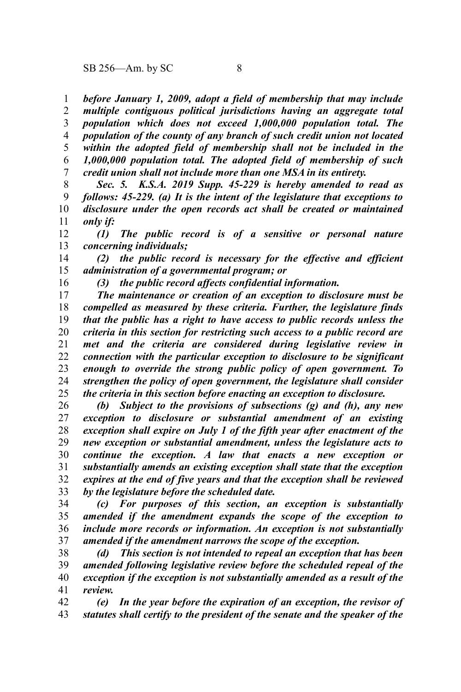*before January 1, 2009, adopt a field of membership that may include multiple contiguous political jurisdictions having an aggregate total population which does not exceed 1,000,000 population total. The population of the county of any branch of such credit union not located within the adopted field of membership shall not be included in the 1,000,000 population total. The adopted field of membership of such credit union shall not include more than one MSA in its entirety.* 1 2 3 4 5 6 7

*Sec. 5. K.S.A. 2019 Supp. 45-229 is hereby amended to read as follows: 45-229. (a) It is the intent of the legislature that exceptions to disclosure under the open records act shall be created or maintained only if:* 8 9 10 11

*(1) The public record is of a sensitive or personal nature concerning individuals;* 12 13

*(2) the public record is necessary for the effective and efficient administration of a governmental program; or* 14 15

16

*(3) the public record affects confidential information.*

*The maintenance or creation of an exception to disclosure must be compelled as measured by these criteria. Further, the legislature finds that the public has a right to have access to public records unless the criteria in this section for restricting such access to a public record are met and the criteria are considered during legislative review in connection with the particular exception to disclosure to be significant enough to override the strong public policy of open government. To strengthen the policy of open government, the legislature shall consider the criteria in this section before enacting an exception to disclosure.* 17 18 19 20 21 22 23 24 25

*(b) Subject to the provisions of subsections (g) and (h), any new exception to disclosure or substantial amendment of an existing exception shall expire on July 1 of the fifth year after enactment of the new exception or substantial amendment, unless the legislature acts to continue the exception. A law that enacts a new exception or substantially amends an existing exception shall state that the exception expires at the end of five years and that the exception shall be reviewed by the legislature before the scheduled date.* 26 27 28 29 30 31 32 33

*(c) For purposes of this section, an exception is substantially amended if the amendment expands the scope of the exception to include more records or information. An exception is not substantially amended if the amendment narrows the scope of the exception.* 34 35 36 37

*(d) This section is not intended to repeal an exception that has been amended following legislative review before the scheduled repeal of the exception if the exception is not substantially amended as a result of the review.* 38 39 40 41

*(e) In the year before the expiration of an exception, the revisor of statutes shall certify to the president of the senate and the speaker of the* 42 43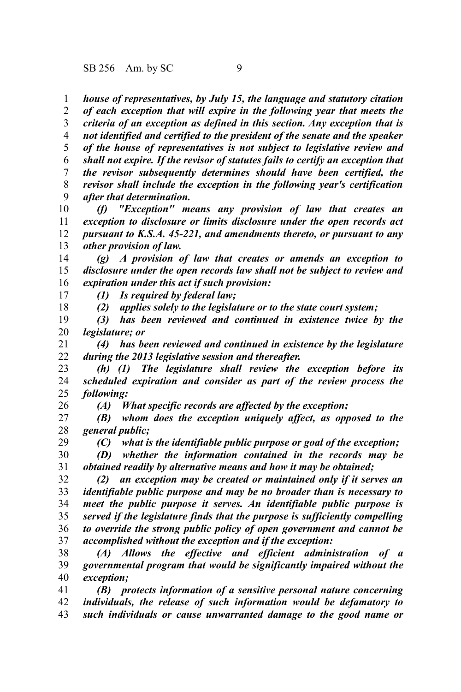*house of representatives, by July 15, the language and statutory citation* 1

*of each exception that will expire in the following year that meets the criteria of an exception as defined in this section. Any exception that is not identified and certified to the president of the senate and the speaker of the house of representatives is not subject to legislative review and shall not expire. If the revisor of statutes fails to certify an exception that the revisor subsequently determines should have been certified, the revisor shall include the exception in the following year's certification after that determination.* 2 3 4 5 6 7 8 9

*(f) "Exception" means any provision of law that creates an exception to disclosure or limits disclosure under the open records act pursuant to K.S.A. 45-221, and amendments thereto, or pursuant to any other provision of law.* 10 11 12 13

*(g) A provision of law that creates or amends an exception to disclosure under the open records law shall not be subject to review and expiration under this act if such provision:* 14 15 16

*(1) Is required by federal law;*

17 18

26

29

*(2) applies solely to the legislature or to the state court system;*

*(3) has been reviewed and continued in existence twice by the legislature; or* 19 20

*(4) has been reviewed and continued in existence by the legislature during the 2013 legislative session and thereafter.* 21 22

*(h) (1) The legislature shall review the exception before its scheduled expiration and consider as part of the review process the following:* 23 24 25

*(A) What specific records are affected by the exception;*

*(B) whom does the exception uniquely affect, as opposed to the general public;* 27 28

*(C) what is the identifiable public purpose or goal of the exception;*

*(D) whether the information contained in the records may be obtained readily by alternative means and how it may be obtained;* 30 31

*(2) an exception may be created or maintained only if it serves an identifiable public purpose and may be no broader than is necessary to meet the public purpose it serves. An identifiable public purpose is served if the legislature finds that the purpose is sufficiently compelling to override the strong public policy of open government and cannot be accomplished without the exception and if the exception:* 32 33 34 35 36 37

*(A) Allows the effective and efficient administration of a governmental program that would be significantly impaired without the exception;* 38 39 40

*(B) protects information of a sensitive personal nature concerning individuals, the release of such information would be defamatory to such individuals or cause unwarranted damage to the good name or* 41 42 43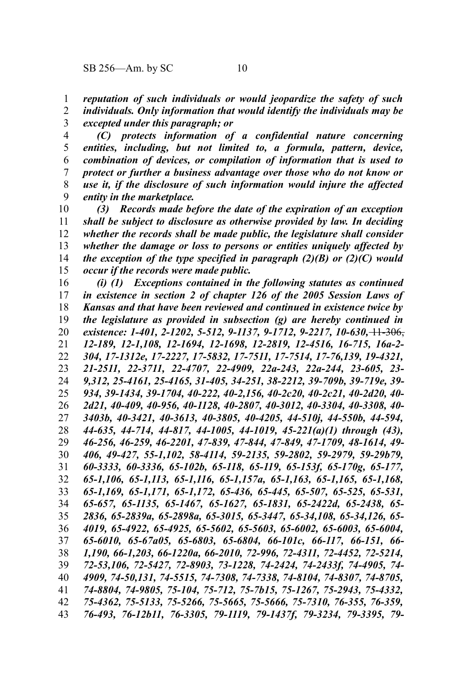*reputation of such individuals or would jeopardize the safety of such* 1

*individuals. Only information that would identify the individuals may be excepted under this paragraph; or* 2 3

*(C) protects information of a confidential nature concerning entities, including, but not limited to, a formula, pattern, device, combination of devices, or compilation of information that is used to protect or further a business advantage over those who do not know or use it, if the disclosure of such information would injure the affected entity in the marketplace.* 4 5 6 7 8 9

*(3) Records made before the date of the expiration of an exception shall be subject to disclosure as otherwise provided by law. In deciding whether the records shall be made public, the legislature shall consider whether the damage or loss to persons or entities uniquely affected by the exception of the type specified in paragraph (2)(B) or (2)(C) would occur if the records were made public.* 10 11 12 13 14 15

*(i) (1) Exceptions contained in the following statutes as continued in existence in section 2 of chapter 126 of the 2005 Session Laws of Kansas and that have been reviewed and continued in existence twice by the legislature as provided in subsection (g) are hereby continued in existence: 1-401, 2-1202, 5-512, 9-1137, 9-1712, 9-2217, 10-630,* 11-306, *12-189, 12-1,108, 12-1694, 12-1698, 12-2819, 12-4516, 16-715, 16a-2- 304, 17-1312e, 17-2227, 17-5832, 17-7511, 17-7514, 17-76,139, 19-4321, 21-2511, 22-3711, 22-4707, 22-4909, 22a-243, 22a-244, 23-605, 23- 9,312, 25-4161, 25-4165, 31-405, 34-251, 38-2212, 39-709b, 39-719e, 39- 934, 39-1434, 39-1704, 40-222, 40-2,156, 40-2c20, 40-2c21, 40-2d20, 40- 2d21, 40-409, 40-956, 40-1128, 40-2807, 40-3012, 40-3304, 40-3308, 40- 3403b, 40-3421, 40-3613, 40-3805, 40-4205, 44-510j, 44-550b, 44-594, 44-635, 44-714, 44-817, 44-1005, 44-1019, 45-221(a)(1) through (43), 46-256, 46-259, 46-2201, 47-839, 47-844, 47-849, 47-1709, 48-1614, 49- 406, 49-427, 55-1,102, 58-4114, 59-2135, 59-2802, 59-2979, 59-29b79, 60-3333, 60-3336, 65-102b, 65-118, 65-119, 65-153f, 65-170g, 65-177, 65-1,106, 65-1,113, 65-1,116, 65-1,157a, 65-1,163, 65-1,165, 65-1,168, 65-1,169, 65-1,171, 65-1,172, 65-436, 65-445, 65-507, 65-525, 65-531, 65-657, 65-1135, 65-1467, 65-1627, 65-1831, 65-2422d, 65-2438, 65- 2836, 65-2839a, 65-2898a, 65-3015, 65-3447, 65-34,108, 65-34,126, 65- 4019, 65-4922, 65-4925, 65-5602, 65-5603, 65-6002, 65-6003, 65-6004, 65-6010, 65-67a05, 65-6803, 65-6804, 66-101c, 66-117, 66-151, 66- 1,190, 66-1,203, 66-1220a, 66-2010, 72-996, 72-4311, 72-4452, 72-5214, 72-53,106, 72-5427, 72-8903, 73-1228, 74-2424, 74-2433f, 74-4905, 74- 4909, 74-50,131, 74-5515, 74-7308, 74-7338, 74-8104, 74-8307, 74-8705, 74-8804, 74-9805, 75-104, 75-712, 75-7b15, 75-1267, 75-2943, 75-4332, 75-4362, 75-5133, 75-5266, 75-5665, 75-5666, 75-7310, 76-355, 76-359, 76-493, 76-12b11, 76-3305, 79-1119, 79-1437f, 79-3234, 79-3395, 79-* 16 17 18 19 20 21 22 23 24 25 26 27 28 29 30 31 32 33 34 35 36 37 38 39 40 41 42 43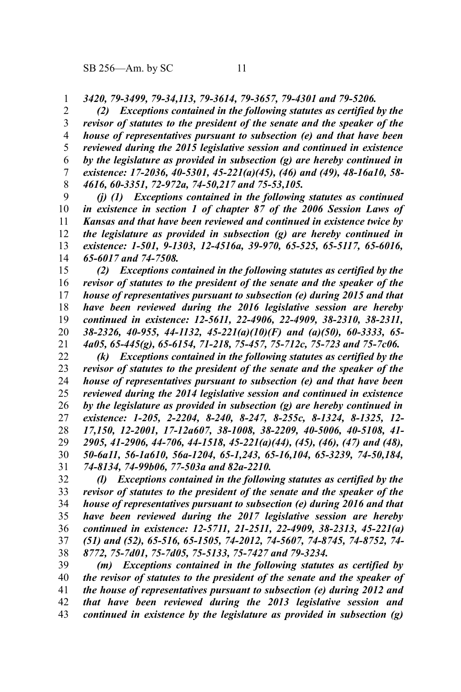*3420, 79-3499, 79-34,113, 79-3614, 79-3657, 79-4301 and 79-5206.* 1

*(2) Exceptions contained in the following statutes as certified by the revisor of statutes to the president of the senate and the speaker of the house of representatives pursuant to subsection (e) and that have been reviewed during the 2015 legislative session and continued in existence by the legislature as provided in subsection (g) are hereby continued in existence: 17-2036, 40-5301, 45-221(a)(45), (46) and (49), 48-16a10, 58- 4616, 60-3351, 72-972a, 74-50,217 and 75-53,105.* 2 3 4 5 6 7 8

*(j) (1) Exceptions contained in the following statutes as continued in existence in section 1 of chapter 87 of the 2006 Session Laws of Kansas and that have been reviewed and continued in existence twice by the legislature as provided in subsection (g) are hereby continued in existence: 1-501, 9-1303, 12-4516a, 39-970, 65-525, 65-5117, 65-6016, 65-6017 and 74-7508.* 9 10 11 12 13 14

*(2) Exceptions contained in the following statutes as certified by the revisor of statutes to the president of the senate and the speaker of the house of representatives pursuant to subsection (e) during 2015 and that have been reviewed during the 2016 legislative session are hereby continued in existence: 12-5611, 22-4906, 22-4909, 38-2310, 38-2311, 38-2326, 40-955, 44-1132, 45-221(a)(10)(F) and (a)(50), 60-3333, 65- 4a05, 65-445(g), 65-6154, 71-218, 75-457, 75-712c, 75-723 and 75-7c06.* 15 16 17 18 19 20 21

*(k) Exceptions contained in the following statutes as certified by the revisor of statutes to the president of the senate and the speaker of the house of representatives pursuant to subsection (e) and that have been reviewed during the 2014 legislative session and continued in existence by the legislature as provided in subsection (g) are hereby continued in existence: 1-205, 2-2204, 8-240, 8-247, 8-255c, 8-1324, 8-1325, 12- 17,150, 12-2001, 17-12a607, 38-1008, 38-2209, 40-5006, 40-5108, 41- 2905, 41-2906, 44-706, 44-1518, 45-221(a)(44), (45), (46), (47) and (48), 50-6a11, 56-1a610, 56a-1204, 65-1,243, 65-16,104, 65-3239, 74-50,184, 74-8134, 74-99b06, 77-503a and 82a-2210.* 22 23 24 25 26 27 28 29 30 31

*(l) Exceptions contained in the following statutes as certified by the revisor of statutes to the president of the senate and the speaker of the house of representatives pursuant to subsection (e) during 2016 and that have been reviewed during the 2017 legislative session are hereby continued in existence: 12-5711, 21-2511, 22-4909, 38-2313, 45-221(a) (51) and (52), 65-516, 65-1505, 74-2012, 74-5607, 74-8745, 74-8752, 74- 8772, 75-7d01, 75-7d05, 75-5133, 75-7427 and 79-3234.* 32 33 34 35 36 37 38

*(m) Exceptions contained in the following statutes as certified by the revisor of statutes to the president of the senate and the speaker of the house of representatives pursuant to subsection (e) during 2012 and that have been reviewed during the 2013 legislative session and continued in existence by the legislature as provided in subsection (g)* 39 40 41 42 43